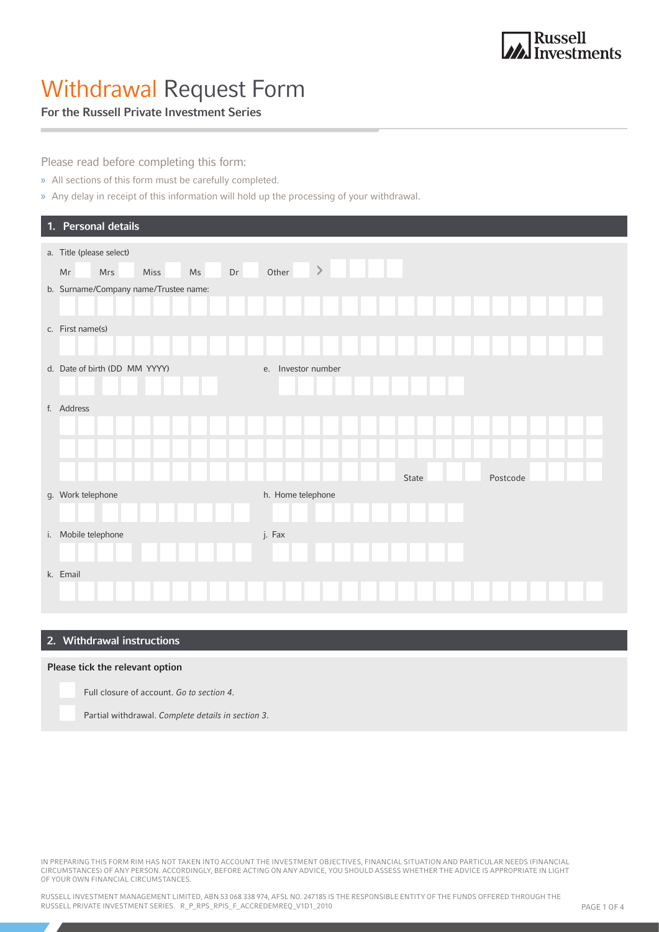# Withdrawal Request Form

### For the Russell Private Investment Series

Please read before completing this form:

- » All sections of this form must be carefully completed.
- » Any delay in receipt of this information will hold up the processing of your withdrawal.

| 1. Personal details                                              |                    |          |
|------------------------------------------------------------------|--------------------|----------|
| a. Title (please select)<br>Dr<br>Miss<br>Ms<br>Mr<br><b>Mrs</b> | $\,>\,$<br>Other   |          |
| b. Surname/Company name/Trustee name:                            |                    |          |
| c. First name(s)                                                 |                    |          |
| d. Date of birth (DD MM YYYY)                                    | e. Investor number |          |
| f. Address                                                       |                    |          |
|                                                                  | State              | Postcode |
| g. Work telephone                                                | h. Home telephone  |          |
| i. Mobile telephone                                              | j. Fax             |          |
| k. Email                                                         |                    |          |

### 2. Withdrawal instructions

#### Please tick the relevant option

Full closure of account. Go to section 4.

Partial withdrawal. Complete details in section 3.

IN PREPARING THIS FORM RIM HAS NOT TAKEN INTO ACCOUNT THE INVESTMENT OBJECTIVES, FINANCIAL SITUATION AND PARTICULAR NEEDS (FINANCIAL CIRCUMSTANCES) OF ANY PERSON. ACCORDINGLY, BEFORE ACTING ON ANY ADVICE, YOU SHOULD ASSESS WHETHER THE ADVICE IS APPROPRIATE IN LIGHT OF YOUR OWN FINANCIAL CIRCUMSTANCES.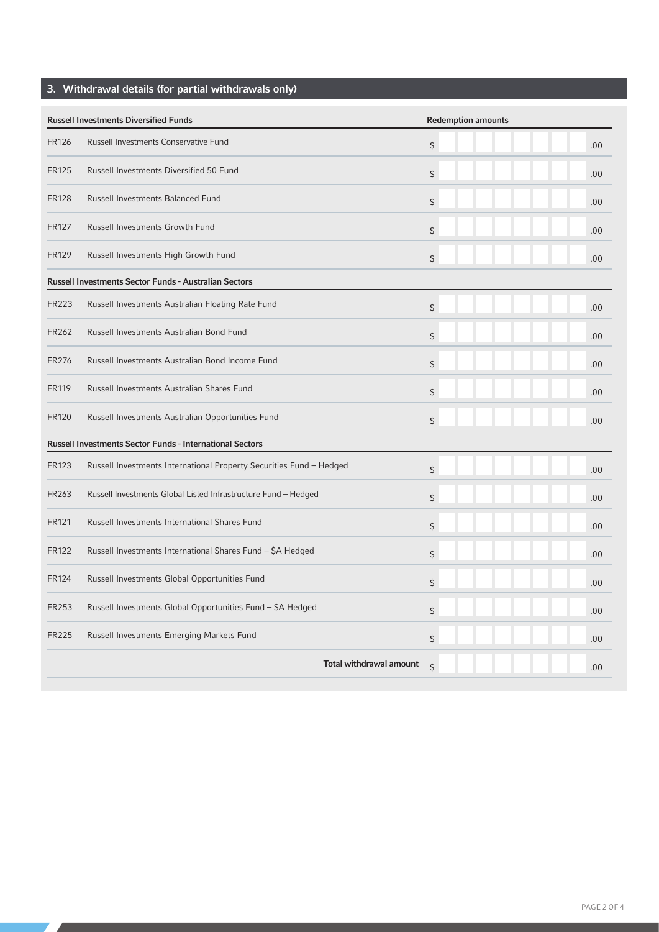# 3. Withdrawal details (for partial withdrawals only)

| <b>Russell Investments Diversified Funds</b> |                                                                     | <b>Redemption amounts</b> |      |  |
|----------------------------------------------|---------------------------------------------------------------------|---------------------------|------|--|
| <b>FR126</b>                                 | Russell Investments Conservative Fund                               | \$                        | .00. |  |
| <b>FR125</b>                                 | Russell Investments Diversified 50 Fund                             | \$                        | .00  |  |
| <b>FR128</b>                                 | Russell Investments Balanced Fund                                   | \$                        | .00  |  |
| <b>FR127</b>                                 | Russell Investments Growth Fund                                     | \$                        | .00  |  |
| <b>FR129</b>                                 | Russell Investments High Growth Fund                                | \$                        | .00. |  |
|                                              | <b>Russell Investments Sector Funds - Australian Sectors</b>        |                           |      |  |
| <b>FR223</b>                                 | Russell Investments Australian Floating Rate Fund                   | \$                        | .00  |  |
| <b>FR262</b>                                 | Russell Investments Australian Bond Fund                            | \$                        | .00  |  |
| <b>FR276</b>                                 | Russell Investments Australian Bond Income Fund                     | \$                        | .00  |  |
| <b>FR119</b>                                 | Russell Investments Australian Shares Fund                          | \$                        | .00  |  |
| <b>FR120</b>                                 | Russell Investments Australian Opportunities Fund                   | \$                        | .00. |  |
|                                              | <b>Russell Investments Sector Funds - International Sectors</b>     |                           |      |  |
| <b>FR123</b>                                 | Russell Investments International Property Securities Fund - Hedged | \$                        | .00  |  |
| FR263                                        | Russell Investments Global Listed Infrastructure Fund - Hedged      | \$                        | .00  |  |
| <b>FR121</b>                                 | Russell Investments International Shares Fund                       | \$                        | .00  |  |
| <b>FR122</b>                                 | Russell Investments International Shares Fund - \$A Hedged          | \$                        | .00  |  |
| <b>FR124</b>                                 | Russell Investments Global Opportunities Fund                       | \$                        | .00. |  |
| <b>FR253</b>                                 | Russell Investments Global Opportunities Fund - \$A Hedged          | \$                        | .00  |  |
| <b>FR225</b>                                 | Russell Investments Emerging Markets Fund                           | \$                        | .00  |  |
|                                              | Total withdrawal amount                                             | Ś                         | .00  |  |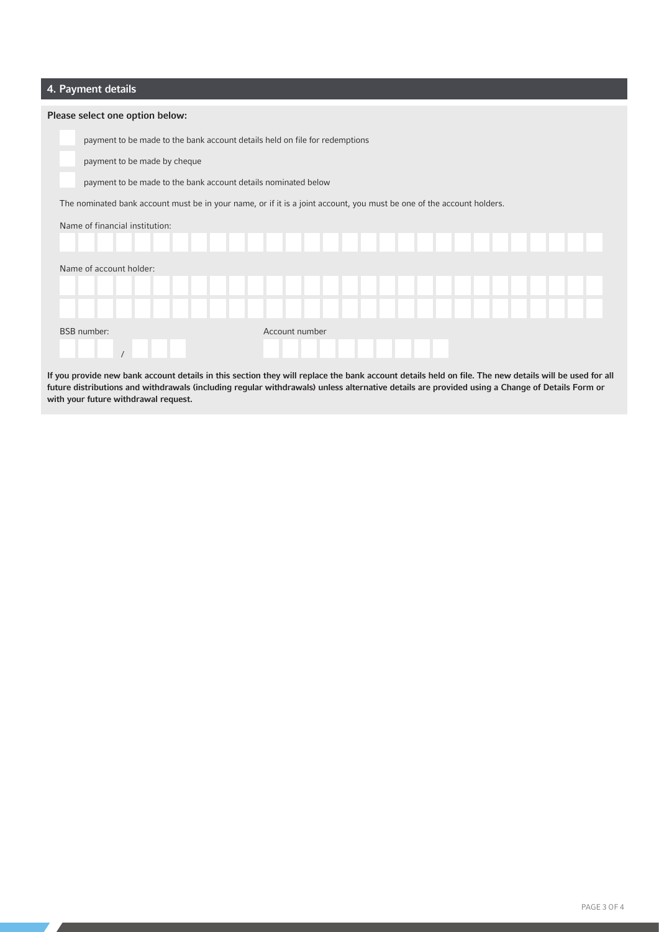### 4. Payment details

| Please select one option below: |                                                                                                                       |  |  |  |  |  |  |  |
|---------------------------------|-----------------------------------------------------------------------------------------------------------------------|--|--|--|--|--|--|--|
|                                 | payment to be made to the bank account details held on file for redemptions                                           |  |  |  |  |  |  |  |
|                                 | payment to be made by cheque                                                                                          |  |  |  |  |  |  |  |
|                                 | payment to be made to the bank account details nominated below                                                        |  |  |  |  |  |  |  |
|                                 | The nominated bank account must be in your name, or if it is a joint account, you must be one of the account holders. |  |  |  |  |  |  |  |
| Name of financial institution:  |                                                                                                                       |  |  |  |  |  |  |  |
|                                 |                                                                                                                       |  |  |  |  |  |  |  |
| Name of account holder:         |                                                                                                                       |  |  |  |  |  |  |  |
|                                 |                                                                                                                       |  |  |  |  |  |  |  |
|                                 |                                                                                                                       |  |  |  |  |  |  |  |
|                                 | Account number<br><b>BSB</b> number:                                                                                  |  |  |  |  |  |  |  |
|                                 |                                                                                                                       |  |  |  |  |  |  |  |

If you provide new bank account details in this section they will replace the bank account details held on file. The new details will be used for all future distributions and withdrawals (including regular withdrawals) unless alternative details are provided using a Change of Details Form or with your future withdrawal request.